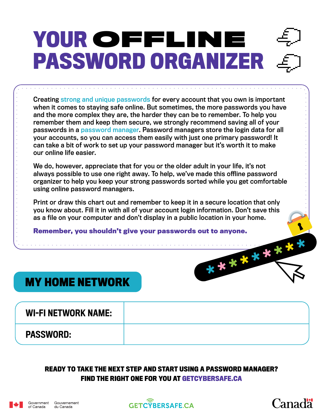# **YOUR** OFFLINE **PASSWORD ORGANIZER**

Creating [strong and unique passwords](https://www.getcybersafe.gc.ca/en/resources/video-creating-strong-password) for every account that you own is important when it comes to staying safe online. But sometimes, the more passwords you have and the more complex they are, the harder they can be to remember. To help you remember them and keep them secure, we strongly recommend saving all of your passwords in a [password manager.](https://www.getcybersafe.gc.ca/en/blogs/why-password-manager-will-help-you-save-time) Password managers store the login data for all your accounts, so you can access them easily with just one primary password! It can take a bit of work to set up your password manager but it's worth it to make our online life easier.

We do, however, appreciate that for you or the older adult in your life, it's not always possible to use one right away. To help, we've made this offline password organizer to help you keep your strong passwords sorted while you get comfortable using online password managers.

Print or draw this chart out and remember to keep it in a secure location that only you know about. Fill it in with all of your account login information. Don't save this as a file on your computer and don't display in a public location in your home.

**Remember, you shouldn't give your passwords out to anyone.**

## **MY HOME NETWORK**

WI-FI NETWORK NAME:

PASSWORD:

#### **READY TO TAKE THE NEXT STEP AND START USING A PASSWORD MANAGER? FIND THE RIGHT ONE FOR YOU AT GETCYBERSAFE.CA**







\*\*\*\*\*\*\*\*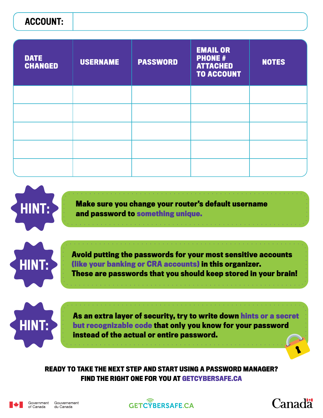### ACCOUNT:

| <b>DATE</b><br><b>CHANGED</b> | <b>USERNAME</b> | <b>PASSWORD</b> | <b>EMAIL OR</b><br><b>PHONE #</b><br><b>ATTACHED</b><br><b>TO ACCOUNT</b> | <b>NOTES</b> |
|-------------------------------|-----------------|-----------------|---------------------------------------------------------------------------|--------------|
|                               |                 |                 |                                                                           |              |
|                               |                 |                 |                                                                           |              |
|                               |                 |                 |                                                                           |              |
|                               |                 |                 |                                                                           |              |
|                               |                 |                 |                                                                           |              |



**Make sure you change your router's default username and password to something unique.**



**Avoid putting the passwords for your most sensitive accounts (like your banking or CRA accounts) in this organizer. These are passwords that you should keep stored in your brain!**



**As an extra layer of security, try to write down hints or a secret but recognizable code that only you know for your password instead of the actual or entire password.**

**READY TO TAKE THE NEXT STEP AND START USING A PASSWORD MANAGER? FIND THE RIGHT ONE FOR YOU AT GETCYBERSAFE.CA**





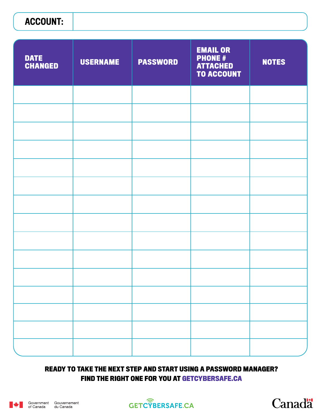## ACCOUNT:

| <b>DATE</b><br><b>CHANGED</b> | <b>USERNAME</b> | <b>PASSWORD</b> | <b>EMAIL OR</b><br><b>PHONE#</b><br><b>ATTACHED</b><br><b>TO ACCOUNT</b> | <b>NOTES</b> |
|-------------------------------|-----------------|-----------------|--------------------------------------------------------------------------|--------------|
|                               |                 |                 |                                                                          |              |
|                               |                 |                 |                                                                          |              |
|                               |                 |                 |                                                                          |              |
|                               |                 |                 |                                                                          |              |
|                               |                 |                 |                                                                          |              |
|                               |                 |                 |                                                                          |              |
|                               |                 |                 |                                                                          |              |
|                               |                 |                 |                                                                          |              |
|                               |                 |                 |                                                                          |              |
|                               |                 |                 |                                                                          |              |
|                               |                 |                 |                                                                          |              |
|                               |                 |                 |                                                                          |              |
|                               |                 |                 |                                                                          |              |
|                               |                 |                 |                                                                          |              |
|                               |                 |                 |                                                                          |              |

#### **READY TO TAKE THE NEXT STEP AND START USING A PASSWORD MANAGER? FIND THE RIGHT ONE FOR YOU AT GETCYBERSAFE.CA**